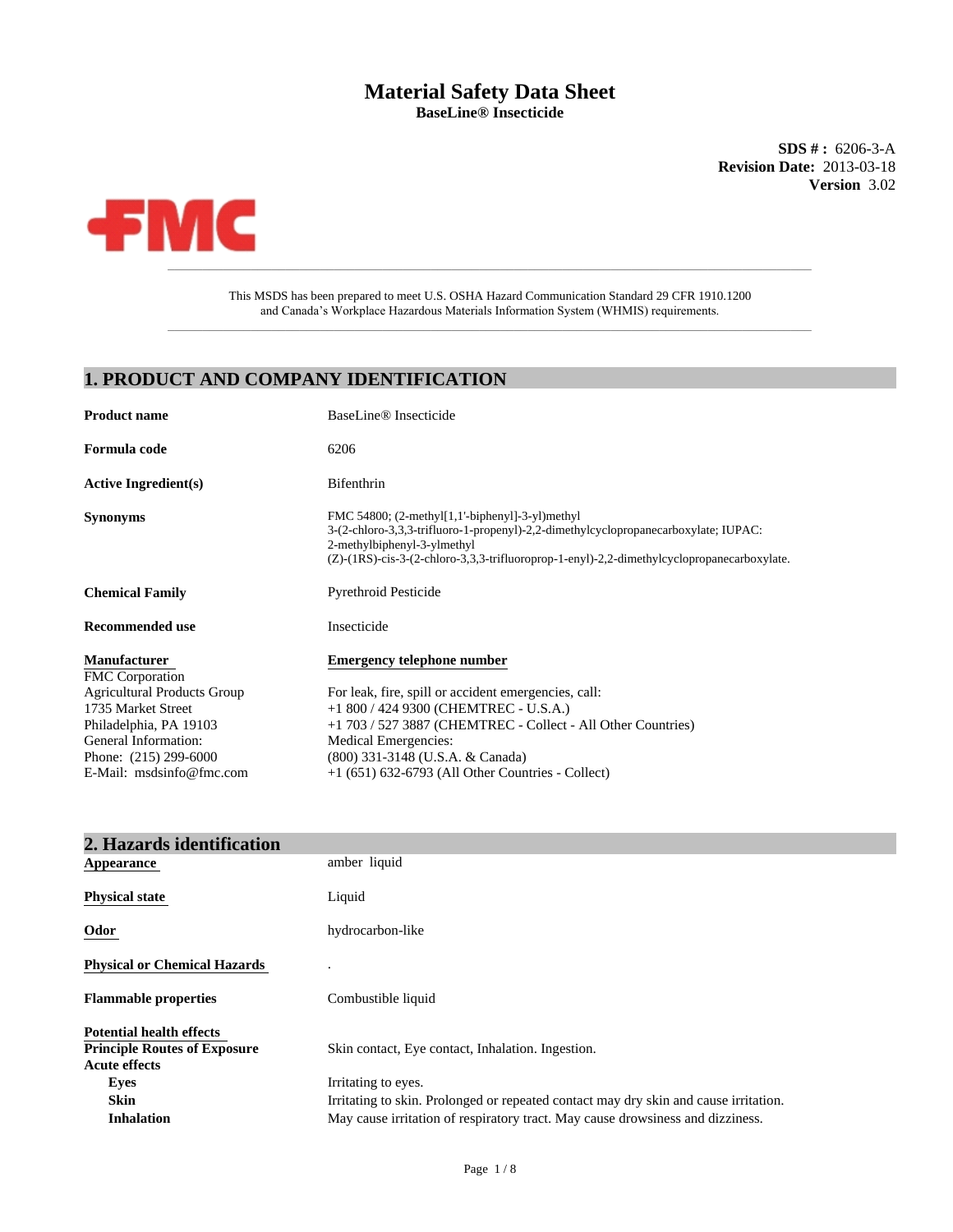# **Material Safety Data Sheet BaseLine® Insecticide**

**SDS # :** 6206-3-A **Revision Date:** 2013-03-18 **Version** 3.02



This MSDS has been prepared to meet U.S. OSHA Hazard Communication Standard 29 CFR 1910.1200 and Canada's Workplace Hazardous Materials Information System (WHMIS) requirements.  $\_$  , and the set of the set of the set of the set of the set of the set of the set of the set of the set of the set of the set of the set of the set of the set of the set of the set of the set of the set of the set of th

# **1. PRODUCT AND COMPANY IDENTIFICATION**

| <b>Product name</b>                | BaseLine <sup>®</sup> Insecticide                                                                                                                                                                                                                                      |
|------------------------------------|------------------------------------------------------------------------------------------------------------------------------------------------------------------------------------------------------------------------------------------------------------------------|
| Formula code                       | 6206                                                                                                                                                                                                                                                                   |
| <b>Active Ingredient(s)</b>        | Bifenthrin                                                                                                                                                                                                                                                             |
| <b>Synonyms</b>                    | FMC 54800; $(2-methyl[1,1'-bipheny1]-3-yl)$ methyl<br>3-(2-chloro-3,3,3-trifluoro-1-propenyl)-2,2-dimethylcyclopropanecarboxylate; IUPAC:<br>2-methylbiphenyl-3-ylmethyl<br>(Z)-(1RS)-cis-3-(2-chloro-3,3,3-trifluoroprop-1-enyl)-2,2-dimethylcyclopropanecarboxylate. |
| <b>Chemical Family</b>             | <b>Pyrethroid Pesticide</b>                                                                                                                                                                                                                                            |
| Recommended use                    | Insecticide                                                                                                                                                                                                                                                            |
| <b>Manufacturer</b>                | <b>Emergency telephone number</b>                                                                                                                                                                                                                                      |
| <b>FMC</b> Corporation             |                                                                                                                                                                                                                                                                        |
| <b>Agricultural Products Group</b> | For leak, fire, spill or accident emergencies, call:                                                                                                                                                                                                                   |
| 1735 Market Street                 | $+1800 / 4249300$ (CHEMTREC - U.S.A.)                                                                                                                                                                                                                                  |
| Philadelphia, PA 19103             | +1 703 / 527 3887 (CHEMTREC - Collect - All Other Countries)                                                                                                                                                                                                           |
| General Information:               | Medical Emergencies:                                                                                                                                                                                                                                                   |
| Phone: (215) 299-6000              | (800) 331-3148 (U.S.A. & Canada)                                                                                                                                                                                                                                       |
| E-Mail: msdsinfo@fmc.com           | $+1$ (651) 632-6793 (All Other Countries - Collect)                                                                                                                                                                                                                    |

| 2. Hazards identification                                                                      |                                                                                                             |
|------------------------------------------------------------------------------------------------|-------------------------------------------------------------------------------------------------------------|
| <b>Appearance</b>                                                                              | amber liquid                                                                                                |
| <b>Physical state</b>                                                                          | Liquid                                                                                                      |
| Odor                                                                                           | hydrocarbon-like                                                                                            |
| <b>Physical or Chemical Hazards</b>                                                            |                                                                                                             |
| <b>Flammable properties</b>                                                                    | Combustible liquid                                                                                          |
| <b>Potential health effects</b><br><b>Principle Routes of Exposure</b><br><b>Acute effects</b> | Skin contact, Eye contact, Inhalation. Ingestion.                                                           |
| Eyes<br><b>Skin</b>                                                                            | Irritating to eyes.<br>Irritating to skin. Prolonged or repeated contact may dry skin and cause irritation. |
| <b>Inhalation</b>                                                                              | May cause irritation of respiratory tract. May cause drowsiness and dizziness.                              |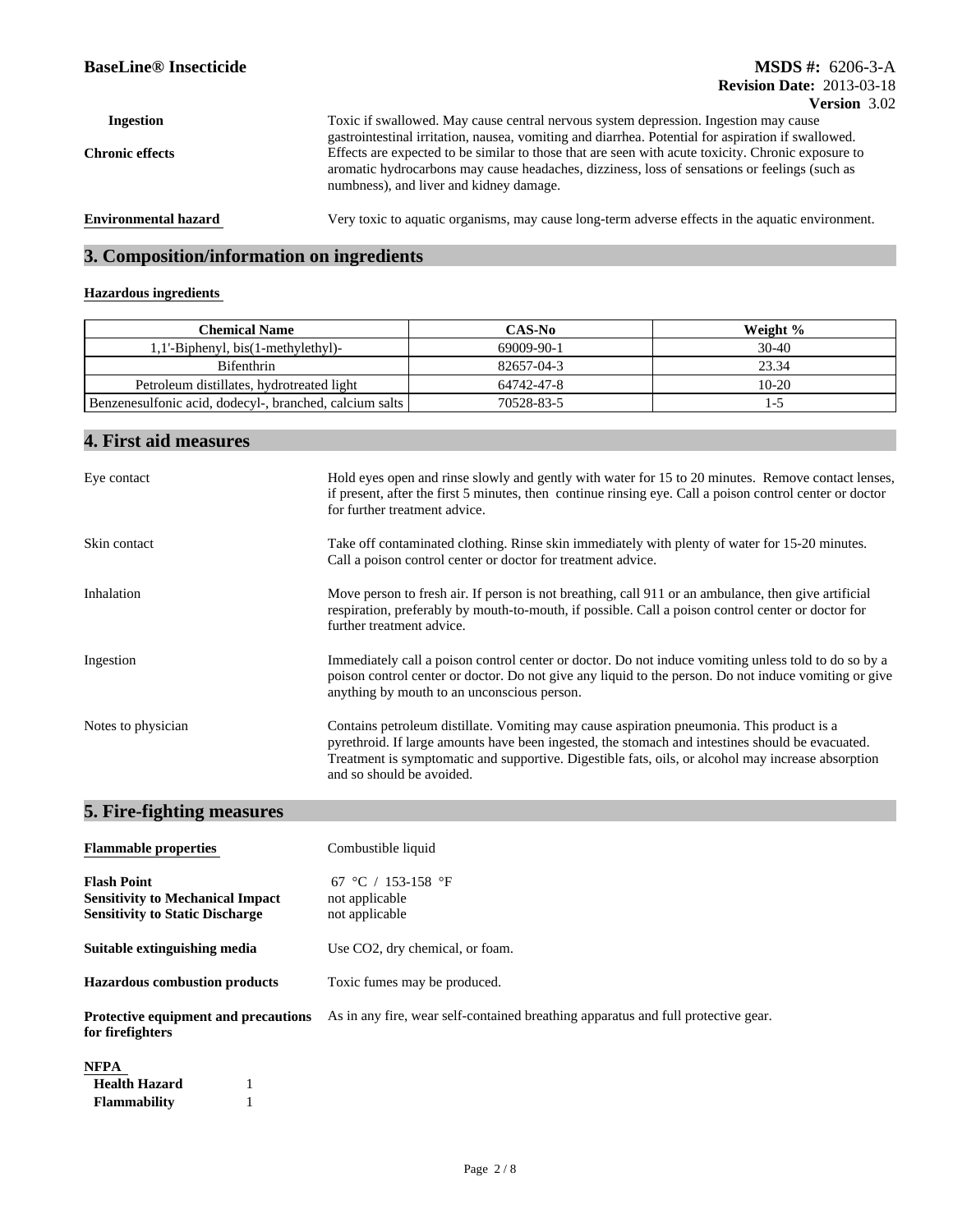## **BaseLine® Insecticide**

#### **Version** 3.02 **Revision Date:** 2013-03-18 **MSDS #:** 6206-3-A

|                             |                                                                                                    | V ULARIH 17.074 |
|-----------------------------|----------------------------------------------------------------------------------------------------|-----------------|
| Ingestion                   | Toxic if swallowed. May cause central nervous system depression. Ingestion may cause               |                 |
|                             | gastrointestinal irritation, nausea, vomiting and diarrhea. Potential for aspiration if swallowed. |                 |
| <b>Chronic effects</b>      | Effects are expected to be similar to those that are seen with acute toxicity. Chronic exposure to |                 |
|                             | aromatic hydrocarbons may cause headaches, dizziness, loss of sensations or feelings (such as      |                 |
|                             | numbness), and liver and kidney damage.                                                            |                 |
|                             |                                                                                                    |                 |
| <b>Environmental hazard</b> | Very toxic to aquatic organisms, may cause long-term adverse effects in the aquatic environment.   |                 |

# **3. Composition/information on ingredients**

#### **Hazardous ingredients**

| Chemical Name                                           | <b>CAS-No</b> | Weight % |
|---------------------------------------------------------|---------------|----------|
| 1'-Biphenyl, bis(1-methylethyl).                        | 69009-90-1    | $30-40$  |
| <b>Bifenthrin</b>                                       | 82657-04-3    | 23.34    |
| Petroleum distillates, hydrotreated light               | 64742-47-8    | $10-20$  |
| Benzenesulfonic acid, dodecyl-, branched, calcium salts | 70528-83-5    |          |

# **4. First aid measures**

| Eye contact        | Hold eyes open and rinse slowly and gently with water for 15 to 20 minutes. Remove contact lenses,<br>if present, after the first 5 minutes, then continue rinsing eye. Call a poison control center or doctor<br>for further treatment advice.                                                                                  |
|--------------------|----------------------------------------------------------------------------------------------------------------------------------------------------------------------------------------------------------------------------------------------------------------------------------------------------------------------------------|
| Skin contact       | Take off contaminated clothing. Rinse skin immediately with plenty of water for 15-20 minutes.<br>Call a poison control center or doctor for treatment advice.                                                                                                                                                                   |
| Inhalation         | Move person to fresh air. If person is not breathing, call 911 or an ambulance, then give artificial<br>respiration, preferably by mouth-to-mouth, if possible. Call a poison control center or doctor for<br>further treatment advice.                                                                                          |
| Ingestion          | Immediately call a poison control center or doctor. Do not induce vomiting unless told to do so by a<br>poison control center or doctor. Do not give any liquid to the person. Do not induce vomiting or give<br>anything by mouth to an unconscious person.                                                                     |
| Notes to physician | Contains petroleum distillate. Vomiting may cause aspiration pneumonia. This product is a<br>pyrethroid. If large amounts have been ingested, the stomach and intestines should be evacuated.<br>Treatment is symptomatic and supportive. Digestible fats, oils, or alcohol may increase absorption<br>and so should be avoided. |

# **5. Fire-fighting measures**

**Flammability** 1

| <b>Flammable properties</b>                                                                             | Combustible liquid                                                                |
|---------------------------------------------------------------------------------------------------------|-----------------------------------------------------------------------------------|
| <b>Flash Point</b><br><b>Sensitivity to Mechanical Impact</b><br><b>Sensitivity to Static Discharge</b> | 67 °C / 153-158 °F<br>not applicable<br>not applicable                            |
| Suitable extinguishing media                                                                            | Use CO2, dry chemical, or foam.                                                   |
| <b>Hazardous combustion products</b>                                                                    | Toxic fumes may be produced.                                                      |
| <b>Protective equipment and precautions</b><br>for firefighters                                         | As in any fire, wear self-contained breathing apparatus and full protective gear. |
| <b>NFPA</b><br><b>Health Hazard</b>                                                                     |                                                                                   |

| Page $2/8$ |  |  |  |  |
|------------|--|--|--|--|
|------------|--|--|--|--|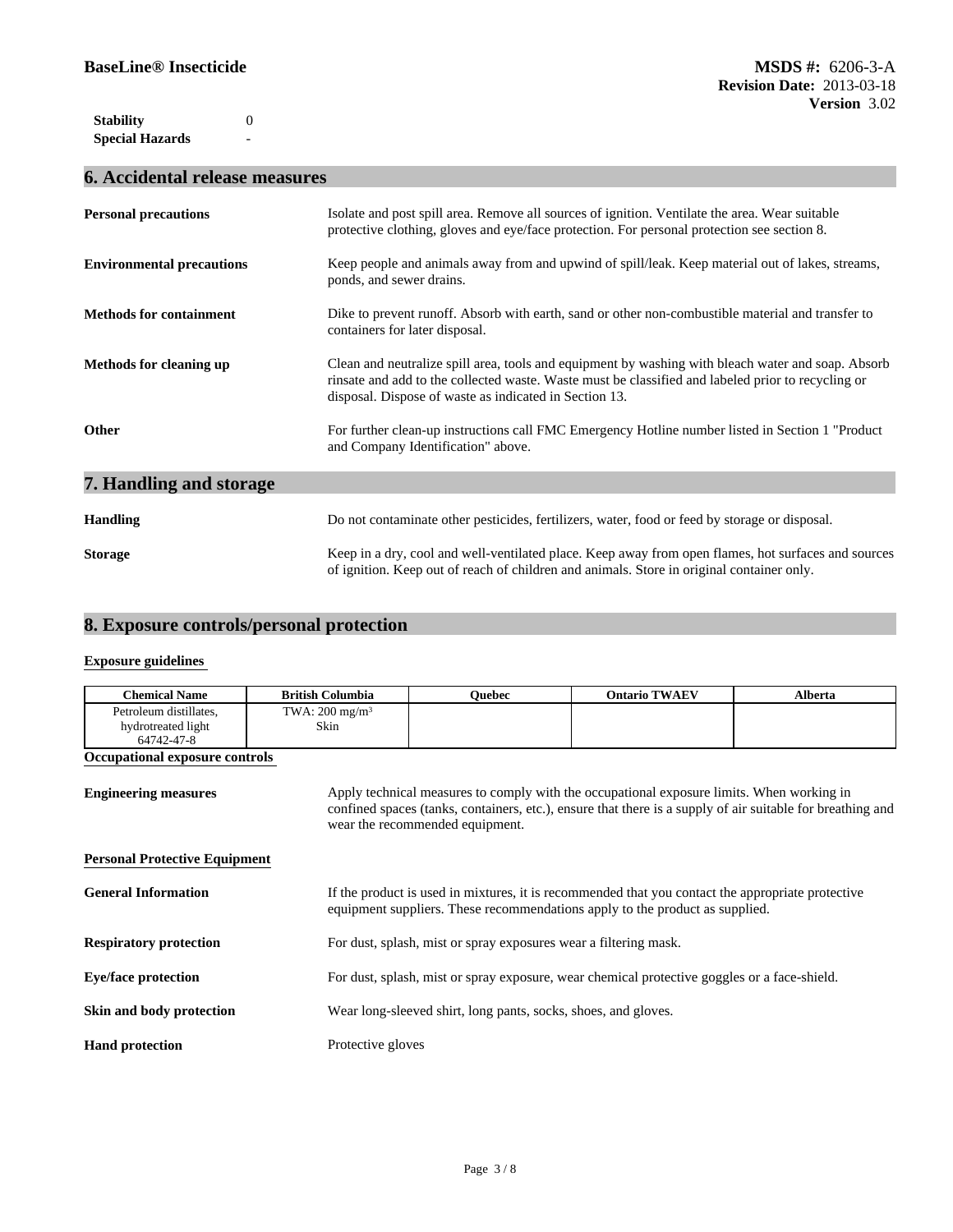**Special Hazards Stability** 0

# **6. Accidental release measures**

**-** Construction

| <b>Personal precautions</b>      | Isolate and post spill area. Remove all sources of ignition. Ventilate the area. Wear suitable<br>protective clothing, gloves and eye/face protection. For personal protection see section 8.                                                                      |
|----------------------------------|--------------------------------------------------------------------------------------------------------------------------------------------------------------------------------------------------------------------------------------------------------------------|
| <b>Environmental precautions</b> | Keep people and animals away from and upwind of spill/leak. Keep material out of lakes, streams,<br>ponds, and sewer drains.                                                                                                                                       |
| <b>Methods for containment</b>   | Dike to prevent runoff. Absorb with earth, sand or other non-combustible material and transfer to<br>containers for later disposal.                                                                                                                                |
| <b>Methods for cleaning up</b>   | Clean and neutralize spill area, tools and equipment by washing with bleach water and soap. Absorb<br>rinsate and add to the collected waste. Waste must be classified and labeled prior to recycling or<br>disposal. Dispose of waste as indicated in Section 13. |
| Other                            | For further clean-up instructions call FMC Emergency Hotline number listed in Section 1 "Product"<br>and Company Identification" above.                                                                                                                            |
| 7. Handling and storage          |                                                                                                                                                                                                                                                                    |
| <b>Handling</b>                  | Do not contaminate other pesticides, fertilizers, water, food or feed by storage or disposal.                                                                                                                                                                      |
| <b>Storage</b>                   | Keep in a dry, cool and well-ventilated place. Keep away from open flames, hot surfaces and sources<br>of ignition. Keep out of reach of children and animals. Store in original container only.                                                                   |

# **8. Exposure controls/personal protection**

#### **Exposure guidelines**

| <b>Chemical Name</b>                 | <b>British Columbia</b>   | <b>Ouebec</b>                                                                                | <b>Ontario TWAEV</b>                                                                                                                                                                                    | <b>Alberta</b> |
|--------------------------------------|---------------------------|----------------------------------------------------------------------------------------------|---------------------------------------------------------------------------------------------------------------------------------------------------------------------------------------------------------|----------------|
| Petroleum distillates,               | TWA: $200 \text{ mg/m}^3$ |                                                                                              |                                                                                                                                                                                                         |                |
| hydrotreated light                   | Skin                      |                                                                                              |                                                                                                                                                                                                         |                |
| 64742-47-8                           |                           |                                                                                              |                                                                                                                                                                                                         |                |
| Occupational exposure controls       |                           |                                                                                              |                                                                                                                                                                                                         |                |
| <b>Engineering measures</b>          |                           | wear the recommended equipment.                                                              | Apply technical measures to comply with the occupational exposure limits. When working in<br>confined spaces (tanks, containers, etc.), ensure that there is a supply of air suitable for breathing and |                |
| <b>Personal Protective Equipment</b> |                           |                                                                                              |                                                                                                                                                                                                         |                |
| <b>General Information</b>           |                           |                                                                                              | If the product is used in mixtures, it is recommended that you contact the appropriate protective<br>equipment suppliers. These recommendations apply to the product as supplied.                       |                |
| <b>Respiratory protection</b>        |                           | For dust, splash, mist or spray exposures wear a filtering mask.                             |                                                                                                                                                                                                         |                |
| <b>Eye/face protection</b>           |                           | For dust, splash, mist or spray exposure, wear chemical protective goggles or a face-shield. |                                                                                                                                                                                                         |                |
| Skin and body protection             |                           | Wear long-sleeved shirt, long pants, socks, shoes, and gloves.                               |                                                                                                                                                                                                         |                |
| <b>Hand protection</b>               |                           | Protective gloves                                                                            |                                                                                                                                                                                                         |                |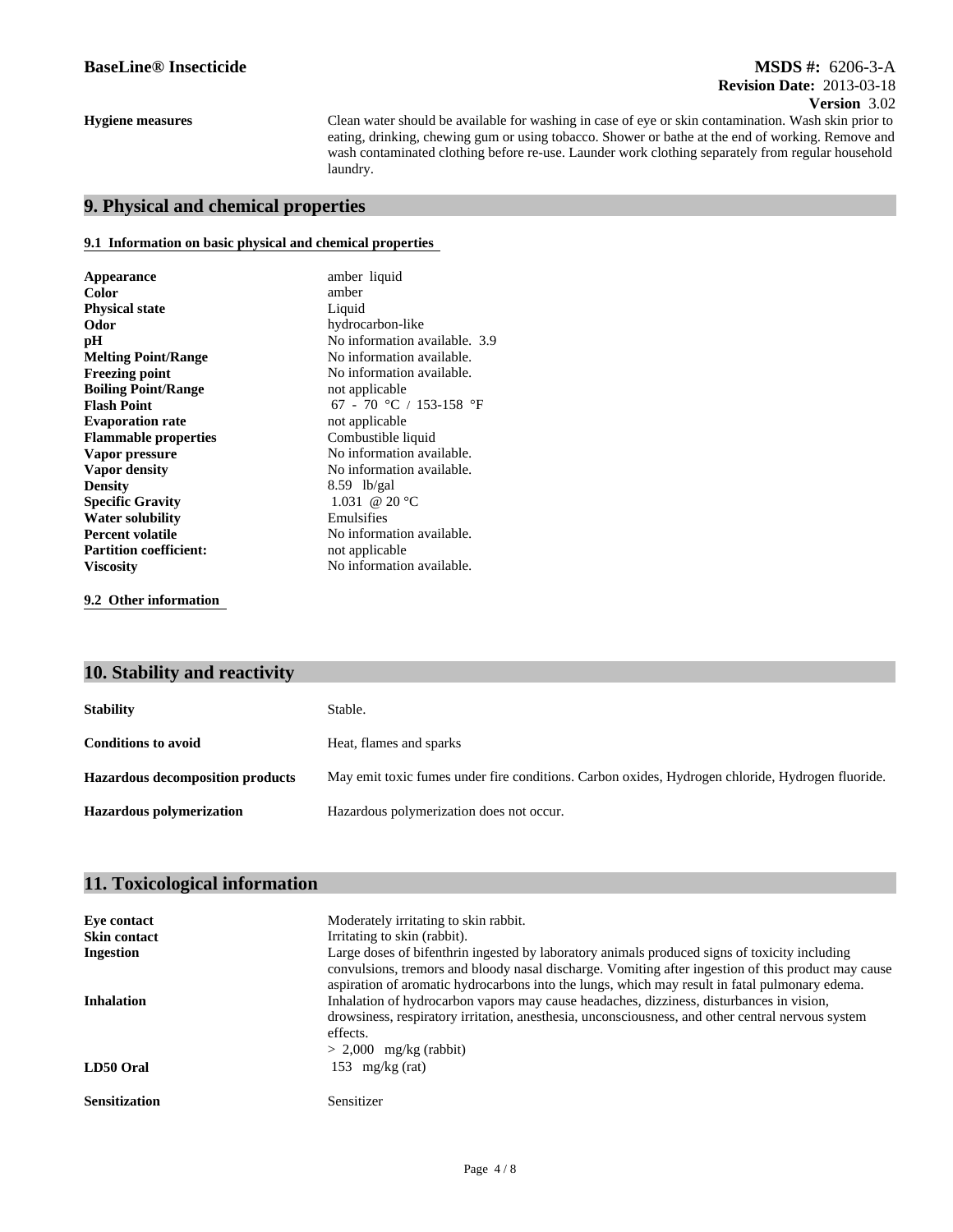## **Revision Date:** 2013-03-18 **MSDS #:** 6206-3-A **Version** 3.02

**Hygiene measures**

Clean water should be available for washing in case of eye or skin contamination. Wash skin prior to eating, drinking, chewing gum or using tobacco. Shower or bathe at the end of working. Remove and wash contaminated clothing before re-use. Launder work clothing separately from regular household laundry.

## **9. Physical and chemical properties**

#### **9.1 Information on basic physical and chemical properties**

| Appearance                    | amber liquid                  |  |
|-------------------------------|-------------------------------|--|
| <b>Color</b>                  | amber                         |  |
| <b>Physical state</b>         | Liquid                        |  |
| Odor                          | hydrocarbon-like              |  |
| pН                            | No information available. 3.9 |  |
| <b>Melting Point/Range</b>    | No information available.     |  |
| <b>Freezing point</b>         | No information available.     |  |
| <b>Boiling Point/Range</b>    | not applicable                |  |
| <b>Flash Point</b>            | 67 - 70 °C / 153-158 °F       |  |
| <b>Evaporation rate</b>       | not applicable                |  |
| <b>Flammable properties</b>   | Combustible liquid            |  |
| Vapor pressure                | No information available.     |  |
| Vapor density                 | No information available.     |  |
| <b>Density</b>                | $8.59$ lb/gal                 |  |
| <b>Specific Gravity</b>       | 1.031 @ 20 °C                 |  |
| <b>Water solubility</b>       | Emulsifies                    |  |
| <b>Percent volatile</b>       | No information available.     |  |
| <b>Partition coefficient:</b> | not applicable                |  |
| <b>Viscosity</b>              | No information available.     |  |
|                               |                               |  |

**9.2 Other information** 

# **10. Stability and reactivity**

| <b>Stability</b>                        | Stable.                                                                                          |
|-----------------------------------------|--------------------------------------------------------------------------------------------------|
| <b>Conditions to avoid</b>              | Heat, flames and sparks                                                                          |
| <b>Hazardous decomposition products</b> | May emit toxic fumes under fire conditions. Carbon oxides, Hydrogen chloride, Hydrogen fluoride. |
| <b>Hazardous polymerization</b>         | Hazardous polymerization does not occur.                                                         |

| Moderately irritating to skin rabbit.                                                                                                                                                                                                                                                                  |
|--------------------------------------------------------------------------------------------------------------------------------------------------------------------------------------------------------------------------------------------------------------------------------------------------------|
| Irritating to skin (rabbit).                                                                                                                                                                                                                                                                           |
| Large doses of bifenthrin ingested by laboratory animals produced signs of toxicity including<br>convulsions, tremors and bloody nasal discharge. Vomiting after ingestion of this product may cause<br>aspiration of aromatic hydrocarbons into the lungs, which may result in fatal pulmonary edema. |
| Inhalation of hydrocarbon vapors may cause headaches, dizziness, disturbances in vision,<br>drowsiness, respiratory irritation, anesthesia, unconsciousness, and other central nervous system<br>effects.<br>$> 2,000$ mg/kg (rabbit)                                                                  |
| 153 mg/kg $(rat)$                                                                                                                                                                                                                                                                                      |
| Sensitizer                                                                                                                                                                                                                                                                                             |
|                                                                                                                                                                                                                                                                                                        |

## **11. Toxicological information**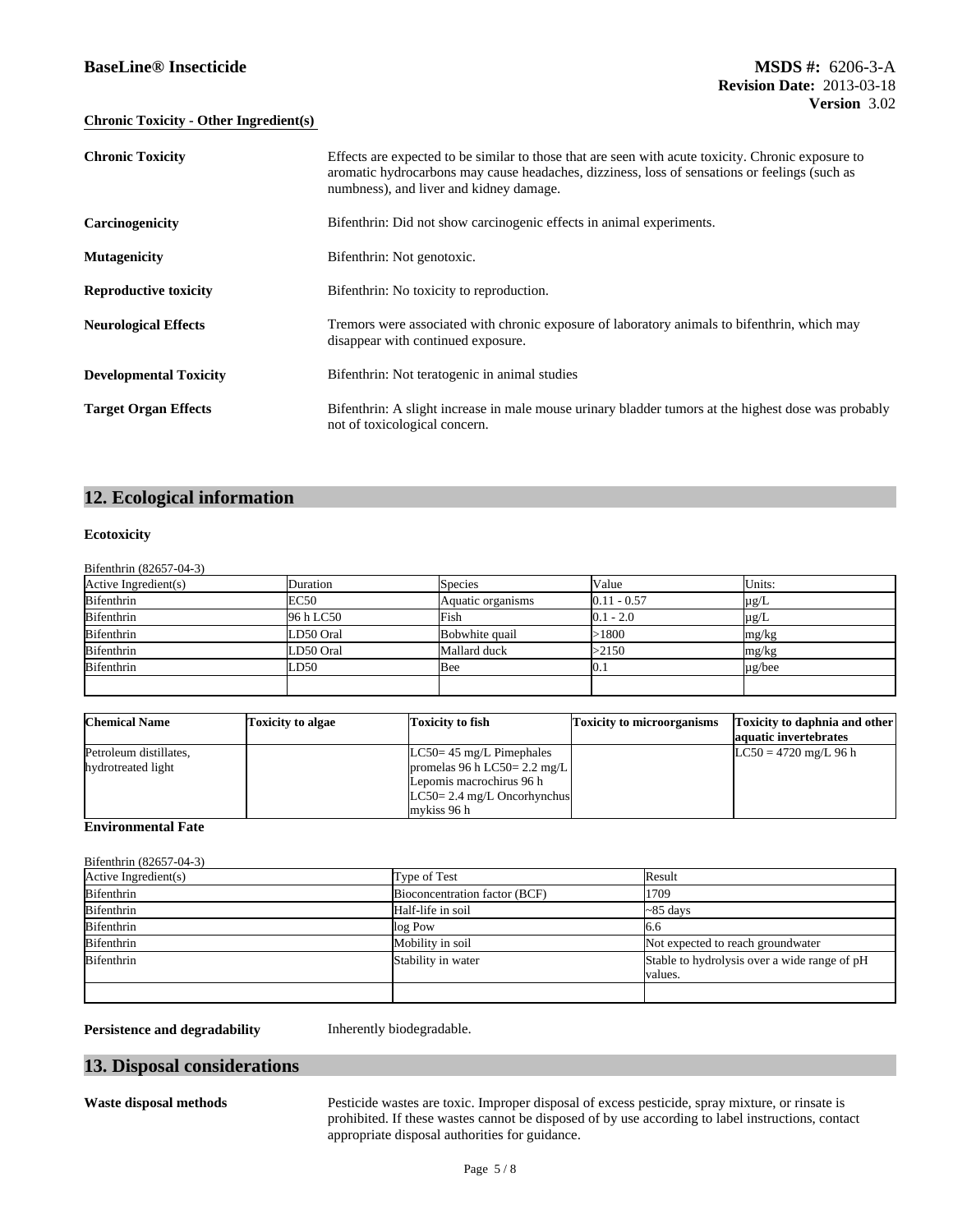### **BaseLine® Insecticide**

#### **Chronic Toxicity - Other Ingredient(s)**

| <b>Chronic Toxicity</b>       | Effects are expected to be similar to those that are seen with acute toxicity. Chronic exposure to<br>aromatic hydrocarbons may cause headaches, dizziness, loss of sensations or feelings (such as<br>numbness), and liver and kidney damage. |
|-------------------------------|------------------------------------------------------------------------------------------------------------------------------------------------------------------------------------------------------------------------------------------------|
| Carcinogenicity               | Bifenthrin: Did not show carcinogenic effects in animal experiments.                                                                                                                                                                           |
| <b>Mutagenicity</b>           | Bifenthrin: Not genotoxic.                                                                                                                                                                                                                     |
| <b>Reproductive toxicity</b>  | Bifenthrin: No toxicity to reproduction.                                                                                                                                                                                                       |
| <b>Neurological Effects</b>   | Tremors were associated with chronic exposure of laboratory animals to bifenthrin, which may<br>disappear with continued exposure.                                                                                                             |
| <b>Developmental Toxicity</b> | Bifenthrin: Not teratogenic in animal studies                                                                                                                                                                                                  |
| <b>Target Organ Effects</b>   | Bifenthrin: A slight increase in male mouse urinary bladder tumors at the highest dose was probably<br>not of toxicological concern.                                                                                                           |

# **12. Ecological information**

#### **Ecotoxicity**

Bifenthrin (82657-04-3)

| Active Ingredient(s) | Duration    | <b>Species</b>    | Value         | Units:      |
|----------------------|-------------|-------------------|---------------|-------------|
| <b>Bifenthrin</b>    | <b>EC50</b> | Aquatic organisms | $0.11 - 0.57$ | $\mu$ g/L   |
| Bifenthrin           | 96 h LC50   | Fish              | $0.1 - 2.0$   | $\mu$ g/L   |
| Bifenthrin           | LD50 Oral   | Bobwhite quail    | >1800         | mg/kg       |
| <b>Bifenthrin</b>    | LD50 Oral   | Mallard duck      | >2150         | mg/kg       |
| Bifenthrin           | LD50        | Bee               | U. I          | $\mu$ g/bee |
|                      |             |                   |               |             |

| <b>Chemical Name</b>                         | <b>Toxicity to algae</b> | Toxicity to fish                                                                                                                         | <b>Toxicity to microorganisms</b> | <b>Toxicity to daphnia and other</b><br>aquatic invertebrates |
|----------------------------------------------|--------------------------|------------------------------------------------------------------------------------------------------------------------------------------|-----------------------------------|---------------------------------------------------------------|
| Petroleum distillates,<br>hydrotreated light |                          | $LC50 = 45$ mg/L Pimephales<br>promelas 96 h LC50= 2.2 mg/L<br>Lepomis macrochirus 96 h<br>$LC50 = 2.4$ mg/L Oncorhynchus<br>mykiss 96 h |                                   | $LC50 = 4720$ mg/L 96 h                                       |

### **Environmental Fate**

Bifenthrin (82657-04-3)

| Active Ingredient(s) | Type of Test                  | Result                                       |  |
|----------------------|-------------------------------|----------------------------------------------|--|
| <b>Bifenthrin</b>    | Bioconcentration factor (BCF) | 1709                                         |  |
| Bifenthrin           | Half-life in soil             | $\sim$ 85 days                               |  |
| Bifenthrin           | log Pow                       | 10.0                                         |  |
| <b>Bifenthrin</b>    | Mobility in soil              | Not expected to reach groundwater            |  |
| <b>Bifenthrin</b>    | Stability in water            | Stable to hydrolysis over a wide range of pH |  |
|                      |                               | values.                                      |  |
|                      |                               |                                              |  |

**Persistence and degradability** Inherently biodegradable.

## **13. Disposal considerations**

**Waste disposal methods** Pesticide wastes are toxic. Improper disposal of excess pesticide, spray mixture, or rinsate is prohibited. If these wastes cannot be disposed of by use according to label instructions, contact appropriate disposal authorities for guidance.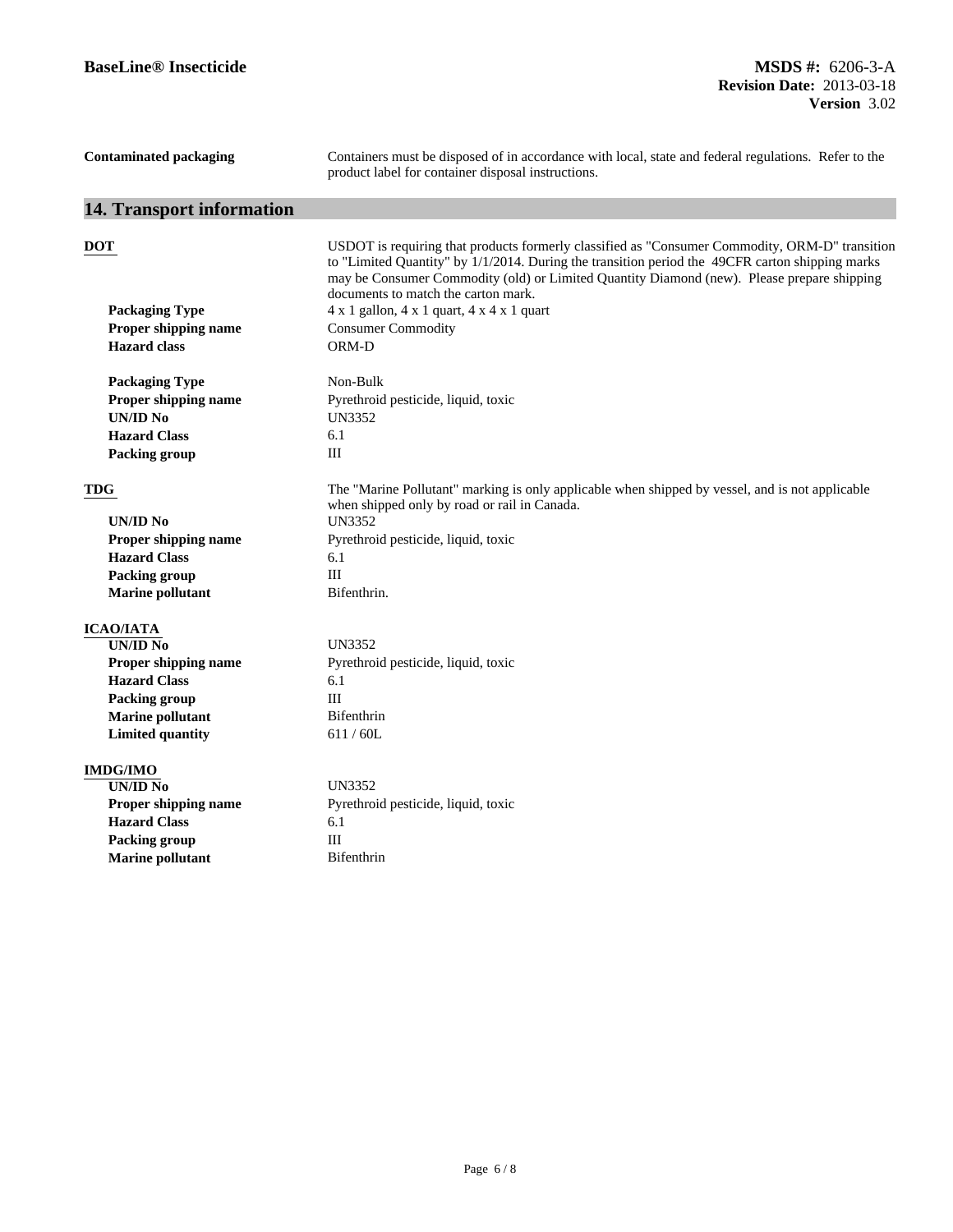| <b>Contaminated packaging</b>    | Containers must be disposed of in accordance with local, state and federal regulations. Refer to the<br>product label for container disposal instructions.                                                                                                                                                                             |
|----------------------------------|----------------------------------------------------------------------------------------------------------------------------------------------------------------------------------------------------------------------------------------------------------------------------------------------------------------------------------------|
| 14. Transport information        |                                                                                                                                                                                                                                                                                                                                        |
| DOT                              | USDOT is requiring that products formerly classified as "Consumer Commodity, ORM-D" transition<br>to "Limited Quantity" by 1/1/2014. During the transition period the 49CFR carton shipping marks<br>may be Consumer Commodity (old) or Limited Quantity Diamond (new). Please prepare shipping<br>documents to match the carton mark. |
| <b>Packaging Type</b>            | 4 x 1 gallon, 4 x 1 quart, 4 x 4 x 1 quart                                                                                                                                                                                                                                                                                             |
| Proper shipping name             | <b>Consumer Commodity</b>                                                                                                                                                                                                                                                                                                              |
| <b>Hazard</b> class              | ORM-D                                                                                                                                                                                                                                                                                                                                  |
| <b>Packaging Type</b>            | Non-Bulk                                                                                                                                                                                                                                                                                                                               |
| Proper shipping name<br>UN/ID No | Pyrethroid pesticide, liquid, toxic<br>UN3352                                                                                                                                                                                                                                                                                          |
| <b>Hazard Class</b>              | 6.1                                                                                                                                                                                                                                                                                                                                    |
| <b>Packing group</b>             | III                                                                                                                                                                                                                                                                                                                                    |
| <b>TDG</b>                       | The "Marine Pollutant" marking is only applicable when shipped by vessel, and is not applicable<br>when shipped only by road or rail in Canada.                                                                                                                                                                                        |
| UN/ID No                         | <b>UN3352</b>                                                                                                                                                                                                                                                                                                                          |
| Proper shipping name             | Pyrethroid pesticide, liquid, toxic                                                                                                                                                                                                                                                                                                    |
| <b>Hazard Class</b>              | 6.1                                                                                                                                                                                                                                                                                                                                    |
| <b>Packing group</b>             | III                                                                                                                                                                                                                                                                                                                                    |
| <b>Marine pollutant</b>          | Bifenthrin.                                                                                                                                                                                                                                                                                                                            |
| <b>ICAO/IATA</b>                 |                                                                                                                                                                                                                                                                                                                                        |
| UN/ID N <sub>0</sub>             | <b>UN3352</b>                                                                                                                                                                                                                                                                                                                          |
| <b>Proper shipping name</b>      | Pyrethroid pesticide, liquid, toxic                                                                                                                                                                                                                                                                                                    |
| <b>Hazard Class</b>              | 6.1                                                                                                                                                                                                                                                                                                                                    |
| <b>Packing group</b>             | III                                                                                                                                                                                                                                                                                                                                    |
| <b>Marine pollutant</b>          | Bifenthrin                                                                                                                                                                                                                                                                                                                             |
| <b>Limited quantity</b>          | 611 / 60L                                                                                                                                                                                                                                                                                                                              |
| <b>IMDG/IMO</b>                  |                                                                                                                                                                                                                                                                                                                                        |
| <b>UN/ID No</b>                  | <b>UN3352</b>                                                                                                                                                                                                                                                                                                                          |
| Proper shipping name             | Pyrethroid pesticide, liquid, toxic                                                                                                                                                                                                                                                                                                    |
| <b>Hazard Class</b>              | 6.1                                                                                                                                                                                                                                                                                                                                    |
| <b>Packing group</b>             | $\rm III$                                                                                                                                                                                                                                                                                                                              |
| <b>Marine pollutant</b>          | Bifenthrin                                                                                                                                                                                                                                                                                                                             |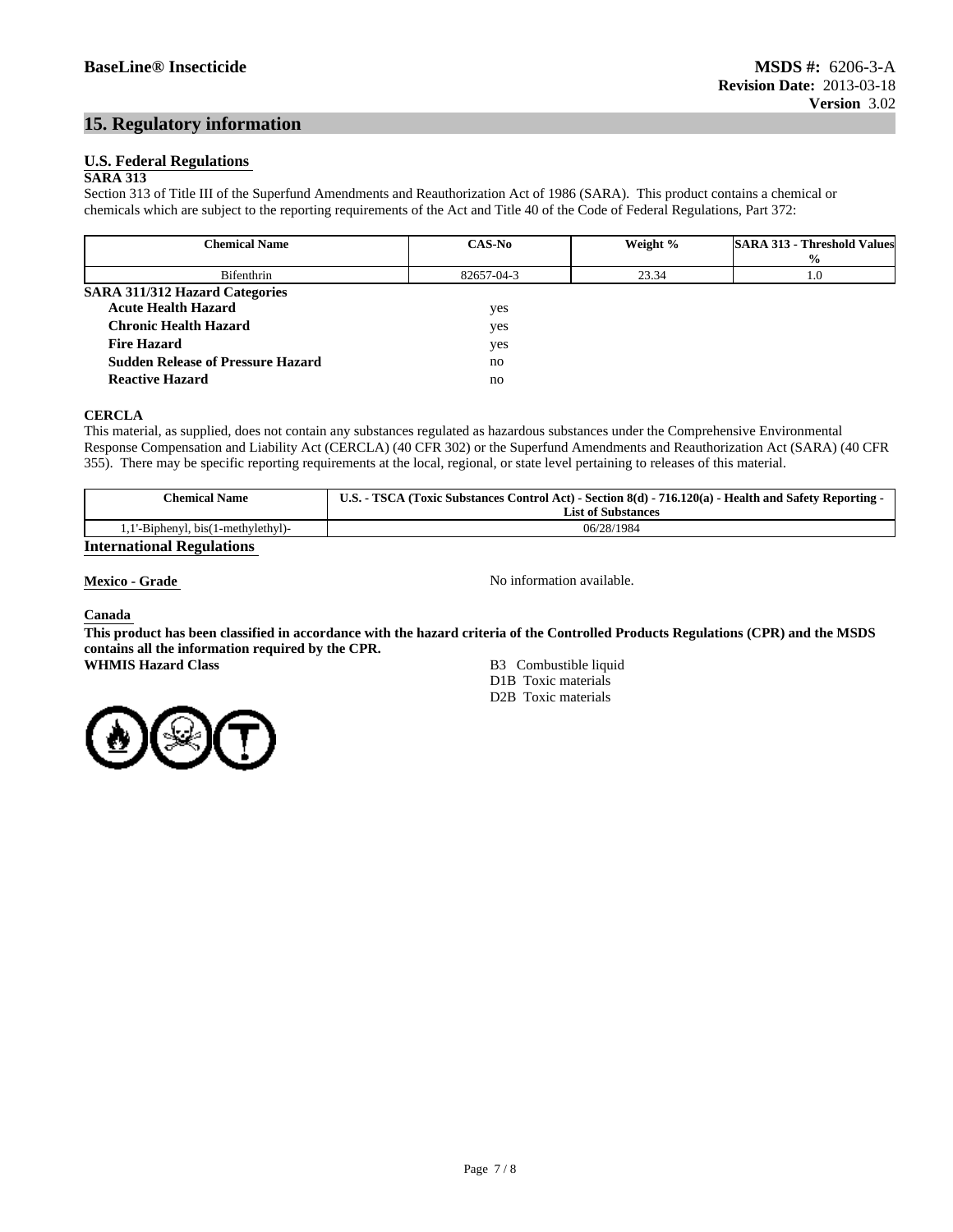## **15. Regulatory information**

#### **U.S. Federal Regulations**

#### **SARA 313**

Section 313 of Title III of the Superfund Amendments and Reauthorization Act of 1986 (SARA). This product contains a chemical or chemicals which are subject to the reporting requirements of the Act and Title 40 of the Code of Federal Regulations, Part 372:

| <b>Chemical Name</b>                     | <b>CAS-No</b> | Weight % | <b>SARA 313 - Threshold Values</b> |
|------------------------------------------|---------------|----------|------------------------------------|
|                                          |               |          | $\frac{6}{9}$                      |
| Bifenthrin                               | 82657-04-3    | 23.34    | 1.0                                |
| <b>SARA 311/312 Hazard Categories</b>    |               |          |                                    |
| <b>Acute Health Hazard</b>               | yes           |          |                                    |
| <b>Chronic Health Hazard</b>             | yes           |          |                                    |
| <b>Fire Hazard</b>                       | yes           |          |                                    |
| <b>Sudden Release of Pressure Hazard</b> | no            |          |                                    |
| <b>Reactive Hazard</b>                   | no            |          |                                    |

#### **CERCLA**

This material, as supplied, does not contain any substances regulated as hazardous substances under the Comprehensive Environmental Response Compensation and Liability Act (CERCLA) (40 CFR 302) or the Superfund Amendments and Reauthorization Act (SARA) (40 CFR 355). There may be specific reporting requirements at the local, regional, or state level pertaining to releases of this material.

| <b>Chemical Name</b>             | <b>U.S. -</b><br><b>TSCA</b><br>(Toxic Substances Control Act) - Section 8(d) - 716.120(a) - 1<br>- Health and Safety Reporting -<br><b>List of Substances</b> |
|----------------------------------|----------------------------------------------------------------------------------------------------------------------------------------------------------------|
| ''-Biphenyl, bis(1-methylethyl)- | 06/28/1984                                                                                                                                                     |
| $\mathbf{r}$ .<br>ת ו            |                                                                                                                                                                |

#### **International Regulations**

**Mexico - Grade No information available.** 

#### **Canada**

**This product has been classified in accordance with the hazard criteria of the Controlled Products Regulations (CPR) and the MSDS contains all the information required by the CPR.**

**WHMIS Hazard Class** B3 Combustible liquid D1B Toxic materials D2B Toxic materials